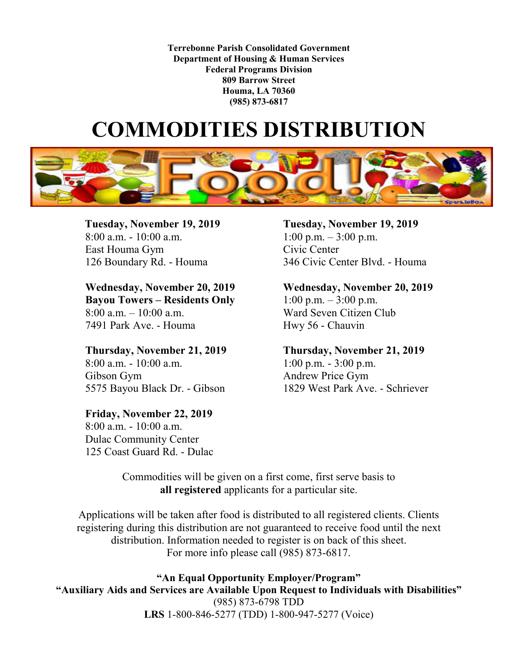**Terrebonne Parish Consolidated Government Department of Housing & Human Services Federal Programs Division 809 Barrow Street Houma, LA 70360 (985) 873-6817**

## **COMMODITIES DISTRIBUTION**



East Houma Gym Civic Center

**Wednesday, November 20, 2019 Wednesday, November 20, 2019 Bayou Towers – Residents Only** 1:00 p.m. – 3:00 p.m. 8:00 a.m. – 10:00 a.m. Ward Seven Citizen Club 7491 Park Ave. - Houma Hwy 56 - Chauvin

8:00 a.m. - 10:00 a.m. 1:00 p.m. - 3:00 p.m. Gibson Gym Andrew Price Gym

**Friday, November 22, 2019** 8:00 a.m. - 10:00 a.m. Dulac Community Center 125 Coast Guard Rd. - Dulac

**Tuesday, November 19, 2019**<br> **Tuesday, November 19, 2019**<br> **R**:00 a.m. - 10:00 a.m.<br> **Tuesday, November 19, 2019** 1:00 p.m.  $-3:00$  p.m. 126 Boundary Rd. - Houma 346 Civic Center Blvd. - Houma

**Thursday, November 21, 2019 Thursday, November 21, 2019** 5575 Bayou Black Dr. - Gibson 1829 West Park Ave. - Schriever

> Commodities will be given on a first come, first serve basis to **all registered** applicants for a particular site.

Applications will be taken after food is distributed to all registered clients. Clients registering during this distribution are not guaranteed to receive food until the next distribution. Information needed to register is on back of this sheet. For more info please call (985) 873-6817.

**"An Equal Opportunity Employer/Program" "Auxiliary Aids and Services are Available Upon Request to Individuals with Disabilities"** (985) 873-6798 TDD **LRS** 1-800-846-5277 (TDD) 1-800-947-5277 (Voice)